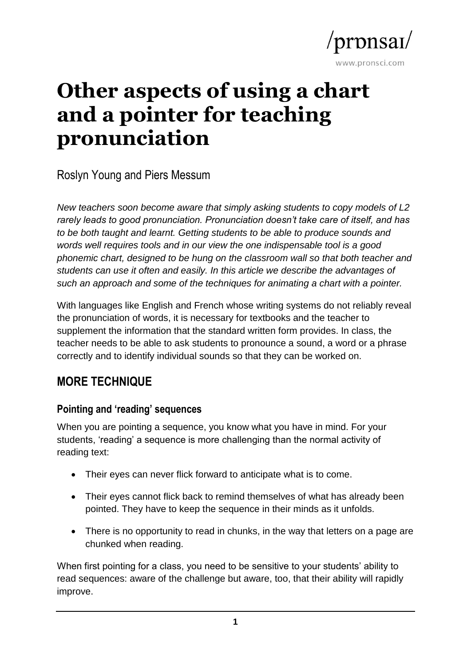

# **Other aspects of using a chart and a pointer for teaching pronunciation**

Roslyn Young and Piers Messum

*New teachers soon become aware that simply asking students to copy models of L2 rarely leads to good pronunciation. Pronunciation doesn't take care of itself, and has to be both taught and learnt. Getting students to be able to produce sounds and words well requires tools and in our view the one indispensable tool is a good phonemic chart, designed to be hung on the classroom wall so that both teacher and students can use it often and easily. In this article we describe the advantages of such an approach and some of the techniques for animating a chart with a pointer.*

With languages like English and French whose writing systems do not reliably reveal the pronunciation of words, it is necessary for textbooks and the teacher to supplement the information that the standard written form provides. In class, the teacher needs to be able to ask students to pronounce a sound, a word or a phrase correctly and to identify individual sounds so that they can be worked on.

## **MORE TECHNIQUE**

## **Pointing and 'reading' sequences**

When you are pointing a sequence, you know what you have in mind. For your students, 'reading' a sequence is more challenging than the normal activity of reading text:

- Their eyes can never flick forward to anticipate what is to come.
- Their eyes cannot flick back to remind themselves of what has already been pointed. They have to keep the sequence in their minds as it unfolds.
- There is no opportunity to read in chunks, in the way that letters on a page are chunked when reading.

When first pointing for a class, you need to be sensitive to your students' ability to read sequences: aware of the challenge but aware, too, that their ability will rapidly improve.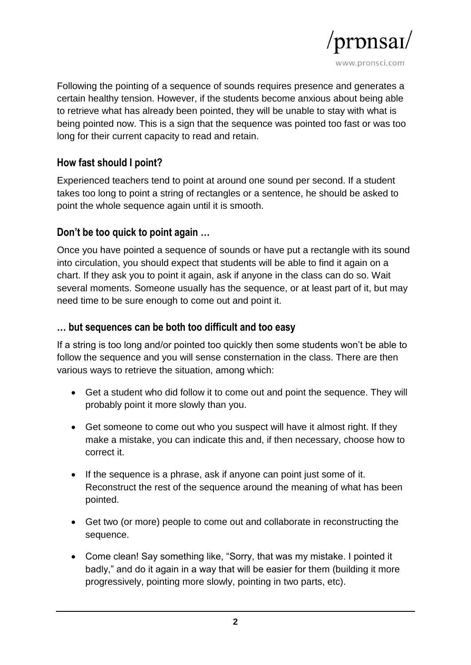

Following the pointing of a sequence of sounds requires presence and generates a certain healthy tension. However, if the students become anxious about being able to retrieve what has already been pointed, they will be unable to stay with what is being pointed now. This is a sign that the sequence was pointed too fast or was too long for their current capacity to read and retain.

#### **How fast should I point?**

Experienced teachers tend to point at around one sound per second. If a student takes too long to point a string of rectangles or a sentence, he should be asked to point the whole sequence again until it is smooth.

#### **Don't be too quick to point again …**

Once you have pointed a sequence of sounds or have put a rectangle with its sound into circulation, you should expect that students will be able to find it again on a chart. If they ask you to point it again, ask if anyone in the class can do so. Wait several moments. Someone usually has the sequence, or at least part of it, but may need time to be sure enough to come out and point it.

#### **… but sequences can be both too difficult and too easy**

If a string is too long and/or pointed too quickly then some students won't be able to follow the sequence and you will sense consternation in the class. There are then various ways to retrieve the situation, among which:

- Get a student who did follow it to come out and point the sequence. They will probably point it more slowly than you.
- Get someone to come out who you suspect will have it almost right. If they make a mistake, you can indicate this and, if then necessary, choose how to correct it.
- If the sequence is a phrase, ask if anyone can point just some of it. Reconstruct the rest of the sequence around the meaning of what has been pointed.
- Get two (or more) people to come out and collaborate in reconstructing the sequence.
- Come clean! Say something like, "Sorry, that was my mistake. I pointed it badly," and do it again in a way that will be easier for them (building it more progressively, pointing more slowly, pointing in two parts, etc).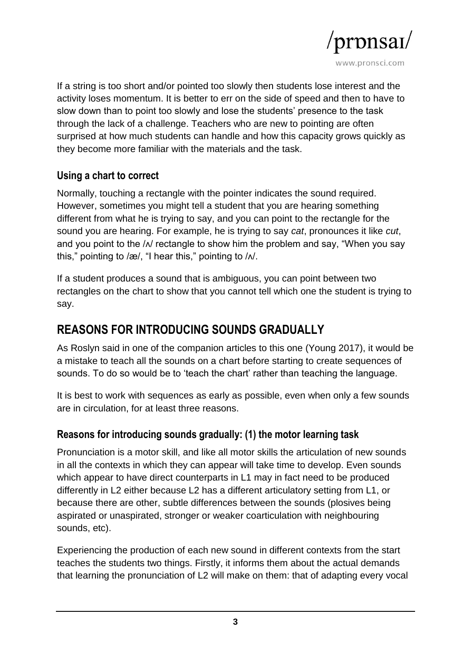

If a string is too short and/or pointed too slowly then students lose interest and the activity loses momentum. It is better to err on the side of speed and then to have to slow down than to point too slowly and lose the students' presence to the task through the lack of a challenge. Teachers who are new to pointing are often surprised at how much students can handle and how this capacity grows quickly as they become more familiar with the materials and the task.

#### **Using a chart to correct**

Normally, touching a rectangle with the pointer indicates the sound required. However, sometimes you might tell a student that you are hearing something different from what he is trying to say, and you can point to the rectangle for the sound you are hearing. For example, he is trying to say *cat*, pronounces it like *cut*, and you point to the  $/N$  rectangle to show him the problem and say, "When you say this," pointing to /æ/, "I hear this," pointing to / $\lambda$ .

If a student produces a sound that is ambiguous, you can point between two rectangles on the chart to show that you cannot tell which one the student is trying to say.

## **REASONS FOR INTRODUCING SOUNDS GRADUALLY**

As Roslyn said in one of the companion articles to this one (Young 2017), it would be a mistake to teach all the sounds on a chart before starting to create sequences of sounds. To do so would be to 'teach the chart' rather than teaching the language.

It is best to work with sequences as early as possible, even when only a few sounds are in circulation, for at least three reasons.

#### **Reasons for introducing sounds gradually: (1) the motor learning task**

Pronunciation is a motor skill, and like all motor skills the articulation of new sounds in all the contexts in which they can appear will take time to develop. Even sounds which appear to have direct counterparts in L1 may in fact need to be produced differently in L2 either because L2 has a different articulatory setting from L1, or because there are other, subtle differences between the sounds (plosives being aspirated or unaspirated, stronger or weaker coarticulation with neighbouring sounds, etc).

Experiencing the production of each new sound in different contexts from the start teaches the students two things. Firstly, it informs them about the actual demands that learning the pronunciation of L2 will make on them: that of adapting every vocal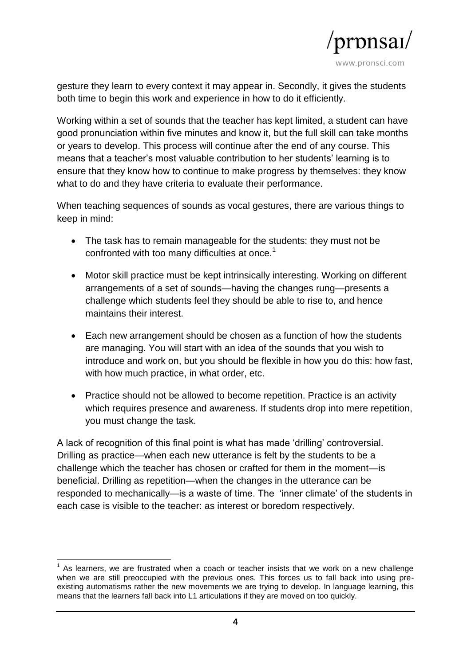

gesture they learn to every context it may appear in. Secondly, it gives the students both time to begin this work and experience in how to do it efficiently.

Working within a set of sounds that the teacher has kept limited, a student can have good pronunciation within five minutes and know it, but the full skill can take months or years to develop. This process will continue after the end of any course. This means that a teacher's most valuable contribution to her students' learning is to ensure that they know how to continue to make progress by themselves: they know what to do and they have criteria to evaluate their performance.

When teaching sequences of sounds as vocal gestures, there are various things to keep in mind:

- The task has to remain manageable for the students: they must not be confronted with too many difficulties at once.<sup>1</sup>
- Motor skill practice must be kept intrinsically interesting. Working on different arrangements of a set of sounds—having the changes rung—presents a challenge which students feel they should be able to rise to, and hence maintains their interest.
- Each new arrangement should be chosen as a function of how the students are managing. You will start with an idea of the sounds that you wish to introduce and work on, but you should be flexible in how you do this: how fast, with how much practice, in what order, etc.
- Practice should not be allowed to become repetition. Practice is an activity which requires presence and awareness. If students drop into mere repetition, you must change the task.

A lack of recognition of this final point is what has made 'drilling' controversial. Drilling as practice—when each new utterance is felt by the students to be a challenge which the teacher has chosen or crafted for them in the moment—is beneficial. Drilling as repetition—when the changes in the utterance can be responded to mechanically—is a waste of time. The 'inner climate' of the students in each case is visible to the teacher: as interest or boredom respectively.

**<sup>.</sup>**  $1$  As learners, we are frustrated when a coach or teacher insists that we work on a new challenge when we are still preoccupied with the previous ones. This forces us to fall back into using preexisting automatisms rather the new movements we are trying to develop. In language learning, this means that the learners fall back into L1 articulations if they are moved on too quickly.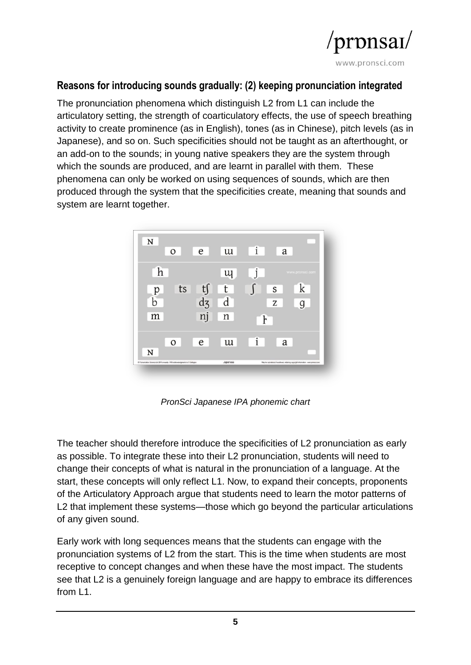

#### **Reasons for introducing sounds gradually: (2) keeping pronunciation integrated**

The pronunciation phenomena which distinguish L2 from L1 can include the articulatory setting, the strength of coarticulatory effects, the use of speech breathing activity to create prominence (as in English), tones (as in Chinese), pitch levels (as in Japanese), and so on. Such specificities should not be taught as an afterthought, or an add-on to the sounds; in young native speakers they are the system through which the sounds are produced, and are learnt in parallel with them. These phenomena can only be worked on using sequences of sounds, which are then produced through the system that the specificities create, meaning that sounds and system are learnt together.



*PronSci Japanese IPA phonemic chart*

The teacher should therefore introduce the specificities of L2 pronunciation as early as possible. To integrate these into their L2 pronunciation, students will need to change their concepts of what is natural in the pronunciation of a language. At the start, these concepts will only reflect L1. Now, to expand their concepts, proponents of the Articulatory Approach argue that students need to learn the motor patterns of L2 that implement these systems—those which go beyond the particular articulations of any given sound.

Early work with long sequences means that the students can engage with the pronunciation systems of L2 from the start. This is the time when students are most receptive to concept changes and when these have the most impact. The students see that L2 is a genuinely foreign language and are happy to embrace its differences from L1.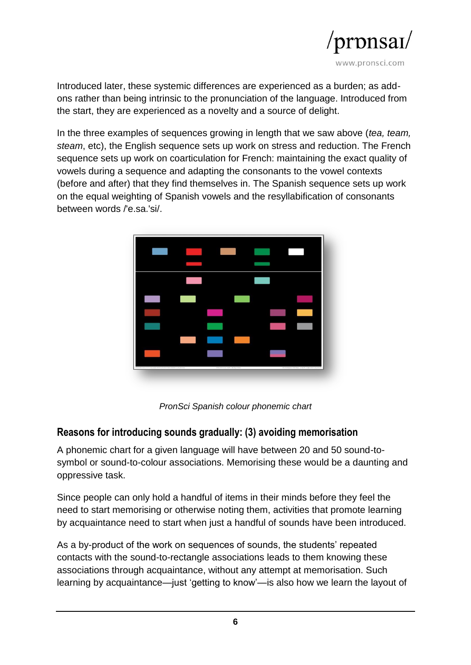

Introduced later, these systemic differences are experienced as a burden; as addons rather than being intrinsic to the pronunciation of the language. Introduced from the start, they are experienced as a novelty and a source of delight.

In the three examples of sequences growing in length that we saw above (*tea, team, steam*, etc), the English sequence sets up work on stress and reduction. The French sequence sets up work on coarticulation for French: maintaining the exact quality of vowels during a sequence and adapting the consonants to the vowel contexts (before and after) that they find themselves in. The Spanish sequence sets up work on the equal weighting of Spanish vowels and the resyllabification of consonants between words /'e.sa.'si/.



*PronSci Spanish colour phonemic chart*

#### **Reasons for introducing sounds gradually: (3) avoiding memorisation**

A phonemic chart for a given language will have between 20 and 50 sound-tosymbol or sound-to-colour associations. Memorising these would be a daunting and oppressive task.

Since people can only hold a handful of items in their minds before they feel the need to start memorising or otherwise noting them, activities that promote learning by acquaintance need to start when just a handful of sounds have been introduced.

As a by-product of the work on sequences of sounds, the students' repeated contacts with the sound-to-rectangle associations leads to them knowing these associations through acquaintance, without any attempt at memorisation. Such learning by acquaintance—just 'getting to know'—is also how we learn the layout of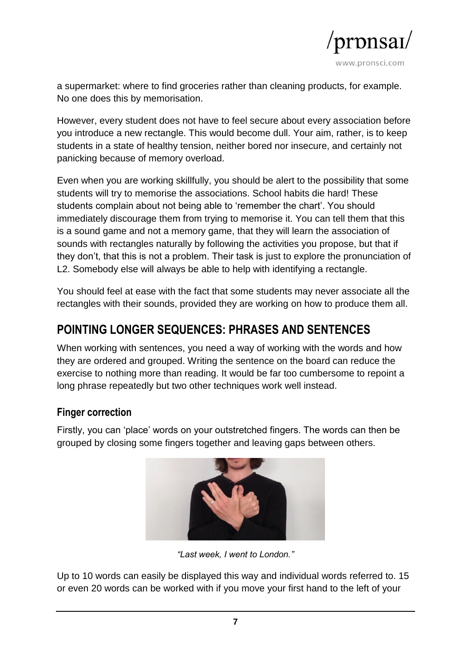

a supermarket: where to find groceries rather than cleaning products, for example. No one does this by memorisation.

However, every student does not have to feel secure about every association before you introduce a new rectangle. This would become dull. Your aim, rather, is to keep students in a state of healthy tension, neither bored nor insecure, and certainly not panicking because of memory overload.

Even when you are working skillfully, you should be alert to the possibility that some students will try to memorise the associations. School habits die hard! These students complain about not being able to 'remember the chart'. You should immediately discourage them from trying to memorise it. You can tell them that this is a sound game and not a memory game, that they will learn the association of sounds with rectangles naturally by following the activities you propose, but that if they don't, that this is not a problem. Their task is just to explore the pronunciation of L2. Somebody else will always be able to help with identifying a rectangle.

You should feel at ease with the fact that some students may never associate all the rectangles with their sounds, provided they are working on how to produce them all.

## **POINTING LONGER SEQUENCES: PHRASES AND SENTENCES**

When working with sentences, you need a way of working with the words and how they are ordered and grouped. Writing the sentence on the board can reduce the exercise to nothing more than reading. It would be far too cumbersome to repoint a long phrase repeatedly but two other techniques work well instead.

#### **Finger correction**

Firstly, you can 'place' words on your outstretched fingers. The words can then be grouped by closing some fingers together and leaving gaps between others.



*"Last week, I went to London."*

Up to 10 words can easily be displayed this way and individual words referred to. 15 or even 20 words can be worked with if you move your first hand to the left of your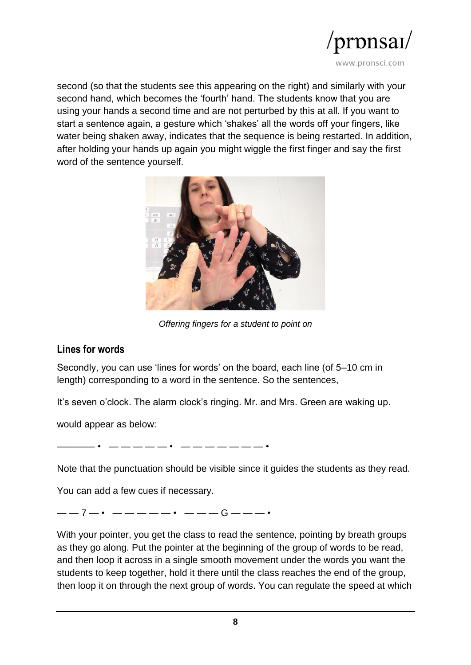

second (so that the students see this appearing on the right) and similarly with your second hand, which becomes the 'fourth' hand. The students know that you are using your hands a second time and are not perturbed by this at all. If you want to start a sentence again, a gesture which 'shakes' all the words off your fingers, like water being shaken away, indicates that the sequence is being restarted. In addition, after holding your hands up again you might wiggle the first finger and say the first word of the sentence yourself.



*Offering fingers for a student to point on*

#### **Lines for words**

Secondly, you can use 'lines for words' on the board, each line (of 5–10 cm in length) corresponding to a word in the sentence. So the sentences,

It's seven o'clock. The alarm clock's ringing. Mr. and Mrs. Green are waking up.

would appear as below:

———— • — — — — — • — — — — — — — •

Note that the punctuation should be visible since it guides the students as they read.

You can add a few cues if necessary.

——7—• —————• ———G———•

With your pointer, you get the class to read the sentence, pointing by breath groups as they go along. Put the pointer at the beginning of the group of words to be read, and then loop it across in a single smooth movement under the words you want the students to keep together, hold it there until the class reaches the end of the group, then loop it on through the next group of words. You can regulate the speed at which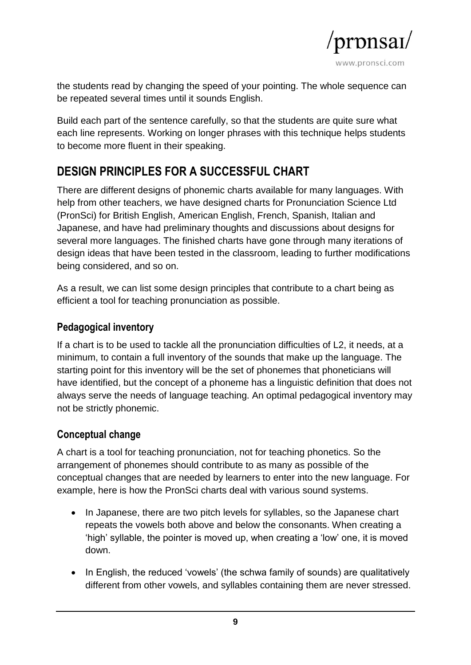

the students read by changing the speed of your pointing. The whole sequence can be repeated several times until it sounds English.

Build each part of the sentence carefully, so that the students are quite sure what each line represents. Working on longer phrases with this technique helps students to become more fluent in their speaking.

# **DESIGN PRINCIPLES FOR A SUCCESSFUL CHART**

There are different designs of phonemic charts available for many languages. With help from other teachers, we have designed charts for Pronunciation Science Ltd (PronSci) for British English, American English, French, Spanish, Italian and Japanese, and have had preliminary thoughts and discussions about designs for several more languages. The finished charts have gone through many iterations of design ideas that have been tested in the classroom, leading to further modifications being considered, and so on.

As a result, we can list some design principles that contribute to a chart being as efficient a tool for teaching pronunciation as possible.

#### **Pedagogical inventory**

If a chart is to be used to tackle all the pronunciation difficulties of L2, it needs, at a minimum, to contain a full inventory of the sounds that make up the language. The starting point for this inventory will be the set of phonemes that phoneticians will have identified, but the concept of a phoneme has a linguistic definition that does not always serve the needs of language teaching. An optimal pedagogical inventory may not be strictly phonemic.

#### **Conceptual change**

A chart is a tool for teaching pronunciation, not for teaching phonetics. So the arrangement of phonemes should contribute to as many as possible of the conceptual changes that are needed by learners to enter into the new language. For example, here is how the PronSci charts deal with various sound systems.

- In Japanese, there are two pitch levels for syllables, so the Japanese chart repeats the vowels both above and below the consonants. When creating a 'high' syllable, the pointer is moved up, when creating a 'low' one, it is moved down.
- In English, the reduced 'vowels' (the schwa family of sounds) are qualitatively different from other vowels, and syllables containing them are never stressed.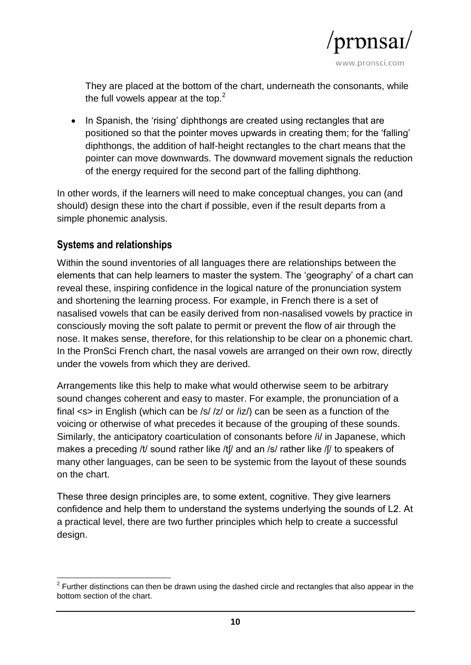

They are placed at the bottom of the chart, underneath the consonants, while the full vowels appear at the top. $<sup>2</sup>$ </sup>

• In Spanish, the 'rising' diphthongs are created using rectangles that are positioned so that the pointer moves upwards in creating them; for the 'falling' diphthongs, the addition of half-height rectangles to the chart means that the pointer can move downwards. The downward movement signals the reduction of the energy required for the second part of the falling diphthong.

In other words, if the learners will need to make conceptual changes, you can (and should) design these into the chart if possible, even if the result departs from a simple phonemic analysis.

#### **Systems and relationships**

Within the sound inventories of all languages there are relationships between the elements that can help learners to master the system. The 'geography' of a chart can reveal these, inspiring confidence in the logical nature of the pronunciation system and shortening the learning process. For example, in French there is a set of nasalised vowels that can be easily derived from non-nasalised vowels by practice in consciously moving the soft palate to permit or prevent the flow of air through the nose. It makes sense, therefore, for this relationship to be clear on a phonemic chart. In the PronSci French chart, the nasal vowels are arranged on their own row, directly under the vowels from which they are derived.

Arrangements like this help to make what would otherwise seem to be arbitrary sound changes coherent and easy to master. For example, the pronunciation of a final <s> in English (which can be /s/ /z/ or /iz/) can be seen as a function of the voicing or otherwise of what precedes it because of the grouping of these sounds. Similarly, the anticipatory coarticulation of consonants before /i/ in Japanese, which makes a preceding /t/ sound rather like /t[/ and an /s/ rather like /[/ to speakers of many other languages, can be seen to be systemic from the layout of these sounds on the chart.

These three design principles are, to some extent, cognitive. They give learners confidence and help them to understand the systems underlying the sounds of L2. At a practical level, there are two further principles which help to create a successful design.

 $\overline{\phantom{a}}$  $2$  Further distinctions can then be drawn using the dashed circle and rectangles that also appear in the bottom section of the chart.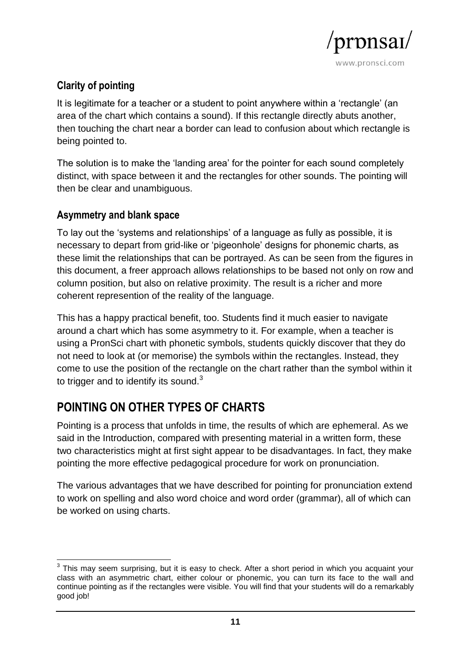

## **Clarity of pointing**

It is legitimate for a teacher or a student to point anywhere within a 'rectangle' (an area of the chart which contains a sound). If this rectangle directly abuts another, then touching the chart near a border can lead to confusion about which rectangle is being pointed to.

The solution is to make the 'landing area' for the pointer for each sound completely distinct, with space between it and the rectangles for other sounds. The pointing will then be clear and unambiguous.

#### **Asymmetry and blank space**

To lay out the 'systems and relationships' of a language as fully as possible, it is necessary to depart from grid-like or 'pigeonhole' designs for phonemic charts, as these limit the relationships that can be portrayed. As can be seen from the figures in this document, a freer approach allows relationships to be based not only on row and column position, but also on relative proximity. The result is a richer and more coherent represention of the reality of the language.

This has a happy practical benefit, too. Students find it much easier to navigate around a chart which has some asymmetry to it. For example, when a teacher is using a PronSci chart with phonetic symbols, students quickly discover that they do not need to look at (or memorise) the symbols within the rectangles. Instead, they come to use the position of the rectangle on the chart rather than the symbol within it to trigger and to identify its sound. $3$ 

## **POINTING ON OTHER TYPES OF CHARTS**

Pointing is a process that unfolds in time, the results of which are ephemeral. As we said in the Introduction, compared with presenting material in a written form, these two characteristics might at first sight appear to be disadvantages. In fact, they make pointing the more effective pedagogical procedure for work on pronunciation.

The various advantages that we have described for pointing for pronunciation extend to work on spelling and also word choice and word order (grammar), all of which can be worked on using charts.

 3 This may seem surprising, but it is easy to check. After a short period in which you acquaint your class with an asymmetric chart, either colour or phonemic, you can turn its face to the wall and continue pointing as if the rectangles were visible. You will find that your students will do a remarkably good job!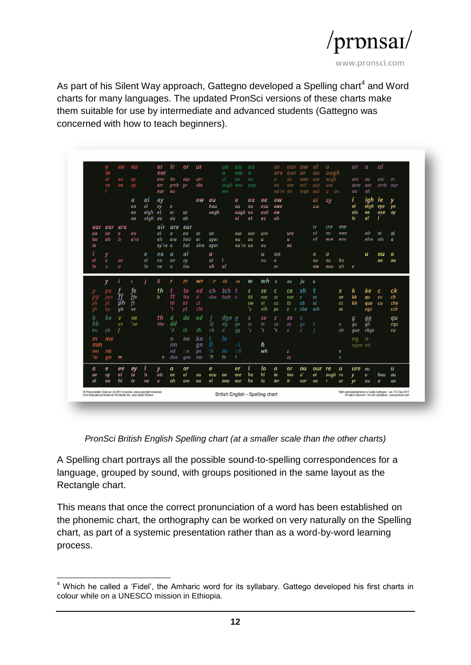

As part of his Silent Way approach, Gattegno developed a Spelling chart<sup>4</sup> and Word charts for many languages. The updated PronSci versions of these charts make them suitable for use by intermediate and advanced students (Gattegno was concerned with how to teach beginners).

|                                                                                                                                                                         | $\frac{e}{ie}$<br>ei<br>ae | ee<br>eo<br>oe               | ea<br>ey<br>ay        |                             | er<br>ear<br>ere<br>err<br>eur | $\boldsymbol{i}$ r<br>irr<br>yrrh yr<br>eu | or<br>our                | <b>ur</b><br>urr<br>olo             |                    | ue<br>u<br>UĪ<br>ough oeu<br>WO. | ou<br>ew<br>eu                     | 00<br>$\sigma$<br>oe.<br>oup          |                           | or<br>ore<br>$\mathcal{O}$<br>00 <sub>o</sub><br>ou're oa | oor<br>our<br>$_{ou}$<br>oar | aw<br><b>ar</b><br>awe<br>ort<br>orps | αI<br>au<br>aor<br>aur<br>aul                                                                                           | $\boldsymbol{a}$<br>ough<br>augh<br>ure<br>$\mathbf{u}$<br><b>UO</b> |                                    | ar<br>are<br>arre<br>$a\overline{a}$ | $\boldsymbol{a}$<br>au<br>aar<br>ah | al<br>ear<br>arrh our   | er                                  |
|-------------------------------------------------------------------------------------------------------------------------------------------------------------------------|----------------------------|------------------------------|-----------------------|-----------------------------|--------------------------------|--------------------------------------------|--------------------------|-------------------------------------|--------------------|----------------------------------|------------------------------------|---------------------------------------|---------------------------|-----------------------------------------------------------|------------------------------|---------------------------------------|-------------------------------------------------------------------------------------------------------------------------|----------------------------------------------------------------------|------------------------------------|--------------------------------------|-------------------------------------|-------------------------|-------------------------------------|
|                                                                                                                                                                         |                            |                              | a<br>ea<br>ee<br>ae   | ai<br>ei<br>eigh<br>aigh ao | ay<br>ey<br>et                 | e<br>er<br>au                              | ez<br>eh                 | ow                                  | ou<br>hou<br>ough  |                                  | $\mathbf o$<br>ou<br>ough oo<br>ol | oa<br>au<br>ot                        | oe<br>eau<br>aoh<br>eo    | ow<br>owe<br>ew<br>oh                                     |                              |                                       | OI<br>aw                                                                                                                | oy                                                                   |                                    | Ť<br>ei<br>ais<br>is.                | iah<br>eigh<br>ae<br>ai             | ie<br>eye<br>aye        | ye<br>ay                            |
| ear<br>ea<br><sub>rer</sub><br><sub>1e</sub>                                                                                                                            | eer<br>ee<br>eir           | ere<br>e<br>$\boldsymbol{n}$ | eo<br>e're            |                             | air<br>ai<br>eir<br>ey're e    | are<br>$\overline{a}$<br>ere               | ear<br>ea<br>heir<br>hei | ar<br>er<br>aire                    | ae<br>ayer<br>ayor |                                  | our<br>ou<br>ou're uo              | oor<br>00                             | ure<br>u<br>eu            |                                                           | ure<br>u<br>eu               |                                       | u<br>υi<br><b>ut</b>                                                                                                    | <u>""</u><br>eu<br>PIIQ                                              | e <sub>14</sub><br>OIMO<br>2011    |                                      | oir<br>oire                         | oi<br>ois               | 0İ<br>$\pmb{o}$                     |
| ei<br>ie                                                                                                                                                                | y<br>e<br>$\boldsymbol{0}$ | ee<br>$\boldsymbol{u}$       |                       | e<br>ei<br>ie               | ea<br>eo<br><b>oe</b>          | a<br>ae<br>$\boldsymbol{u}$                | ai<br>av<br>ieu          |                                     | a<br>аi<br>ah      | j<br>al                          |                                    |                                       | u<br>ou                   | 00<br>$\mathbf{O}$<br>or                                  |                              |                                       | $\boldsymbol{o}$<br>ou<br>ow                                                                                            | a<br>au<br>eau                                                       | ho<br>oh.                          | e                                    | и                                   | $\sigma$ u<br>oe        | $\mathbf{o}$<br>00                  |
|                                                                                                                                                                         | v                          |                              | $\mathbf{r}$          |                             | $\mathfrak u$                  | r                                          | rr                       | wr                                  |                    | <b>rh</b>                        | re                                 | W                                     | wh                        | $\pmb{o}$                                                 | ou                           | jи                                    | $\overline{u}$                                                                                                          |                                                                      |                                    |                                      |                                     |                         |                                     |
| ph<br>gh                                                                                                                                                                | рe<br>ppe<br>pt<br>bp      | ff<br>ph<br>gh               | fe<br>ffe<br>ft<br>ve |                             | th<br>$\boldsymbol{h}$         | tt<br>th<br>$\mathbf{r}$                   | te<br>tte<br>bt<br>pt    | еd<br>$\boldsymbol{d}$<br>ct<br>cht | сh<br>che          | tch<br>tsch c                    |                                    | s<br>SS<br><b>SW</b><br>$^{\prime}$ s | se<br>sse<br>st.<br>sth   | с<br><b>SC</b><br>cc<br>ps                                | ce<br>sce<br>tz<br>z c che   | -sh<br>-S<br>ch                       | 55<br>sc.<br>-sch                                                                                                       |                                                                      | $\boldsymbol{x}$<br>xe<br>cc<br>XC | k<br>k<br>k <sub>h</sub>             | ke<br>qu<br>que<br>cqu              | c<br>cc<br>cu           | ck<br>ch<br>che<br>cch              |
| b<br>bb<br>bu                                                                                                                                                           | be<br>$_{bb}$              | $\mathbf v$<br><b>VV</b>     | ve<br>'ve             |                             | th<br>the                      | d<br>dd<br>'d                              | de<br>Ιd                 | ed<br>dh                            | dį<br>ch           | dge g<br>da<br>d.                | ge<br>$q\overline{q}$              | s<br>55<br>$^{\prime}$ s              | se<br>ts<br>$^{\prime}$ s | z<br>CZ<br>'s                                             | ze<br>ZZ<br>$\pmb{\chi}$     | S<br>ge<br>z                          |                                                                                                                         |                                                                      | x<br>xh                            | $\boldsymbol{g}$<br>gu<br>que        | 99<br>gh<br>ckqu                    |                         | qu<br>cqu<br><b>CU</b>              |
| m<br>mm<br>mn<br>m                                                                                                                                                      | me<br>mb<br>gm             | m                            |                       |                             | $\sqrt{n}$                     | $\mathsf{n}$<br>nn<br>nd<br>dne            | ne<br>n<br>gne           | k n<br>qn<br>pn<br>mn               | ll<br>'N<br>ʻШ     | le<br>lle<br>le.                 | - 1<br>$\otimes$ ll                |                                       | h<br>wh                   |                                                           | z<br>ZZ.                     |                                       |                                                                                                                         |                                                                      | $\boldsymbol{x}$<br>X              | ng<br>nque nd                        | n                                   |                         |                                     |
| a<br>ae<br>аi                                                                                                                                                           | e<br>ay<br>ea              | ee<br>ei<br>hi               | ey<br>ia<br>ie        | $\mathbf{I}$<br>is<br>oe    | y<br>ois<br>$\boldsymbol{u}$   | a<br>ae<br>ah                              | ar<br>ai<br>are          | au<br>ea                            | e<br>eau<br>ei     | eo<br>eou                        | er<br>ere<br>eur                   | i<br>ha<br>he                         | <b>10</b><br>hi<br>ia     | $\mathbf{o}$<br>ie<br><sub>1er</sub>                      | or<br>iou<br>ir              | ou<br>$\mathbf{o}$<br>oar             | our<br>oi<br>00                                                                                                         | <i>re</i><br>ough<br>r                                               | u<br>r <sub>o</sub><br><b>ur</b>   | ure<br>v<br><b>VI</b>                | eu<br>$\boldsymbol{u}$<br>uu        | hou<br>$\boldsymbol{o}$ | $\boldsymbol{u}$<br>ou<br><b>UO</b> |
| C Pronunciation Science Ltd 2011 onwards, using copyright materials<br>British English - Spelling chart<br>from Educational Solutions Worldwide Inc. used under licence |                            |                              |                       |                             |                                |                                            |                          |                                     |                    |                                  |                                    |                                       |                           |                                                           |                              |                                       | With acknowledgments to Caleb Gattegno - ver. 3.0, Dec 2017<br>All rights reserved - Do not reproduce - www.pronsci.com |                                                                      |                                    |                                      |                                     |                         |                                     |

*PronSci British English Spelling chart (at a smaller scale than the other charts)*

A Spelling chart portrays all the possible sound-to-spelling correspondences for a language, grouped by sound, with groups positioned in the same layout as the Rectangle chart.

This means that once the correct pronunciation of a word has been established on the phonemic chart, the orthography can be worked on very naturally on the Spelling chart, as part of a systemic presentation rather than as a word-by-word learning process.

 $\overline{a}$  $<sup>4</sup>$  Which he called a 'Fidel', the Amharic word for its syllabary. Gattego developed his first charts in</sup> colour while on a UNESCO mission in Ethiopia.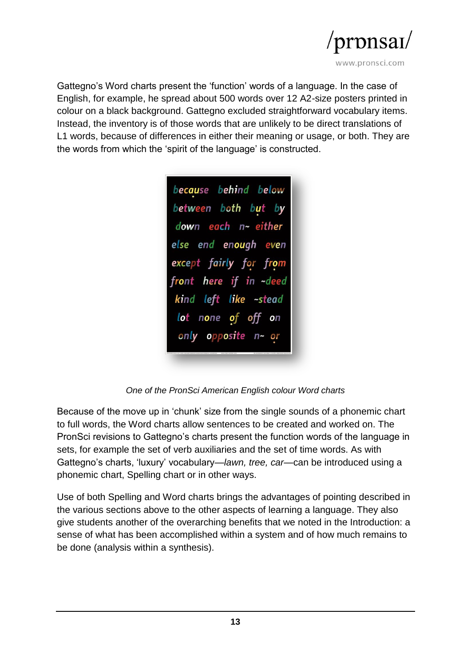

Gattegno's Word charts present the 'function' words of a language. In the case of English, for example, he spread about 500 words over 12 A2-size posters printed in colour on a black background. Gattegno excluded straightforward vocabulary items. Instead, the inventory is of those words that are unlikely to be direct translations of L1 words, because of differences in either their meaning or usage, or both. They are the words from which the 'spirit of the language' is constructed.

because behind below between both but by down each n~ either else end enough even except fairly for from front here if in ~deed kind left like ~stead lot none of off on only opposite n~ or

*One of the PronSci American English colour Word charts*

Because of the move up in 'chunk' size from the single sounds of a phonemic chart to full words, the Word charts allow sentences to be created and worked on. The PronSci revisions to Gattegno's charts present the function words of the language in sets, for example the set of verb auxiliaries and the set of time words. As with Gattegno's charts, 'luxury' vocabulary—*lawn, tree, car*—can be introduced using a phonemic chart, Spelling chart or in other ways.

Use of both Spelling and Word charts brings the advantages of pointing described in the various sections above to the other aspects of learning a language. They also give students another of the overarching benefits that we noted in the Introduction: a sense of what has been accomplished within a system and of how much remains to be done (analysis within a synthesis).